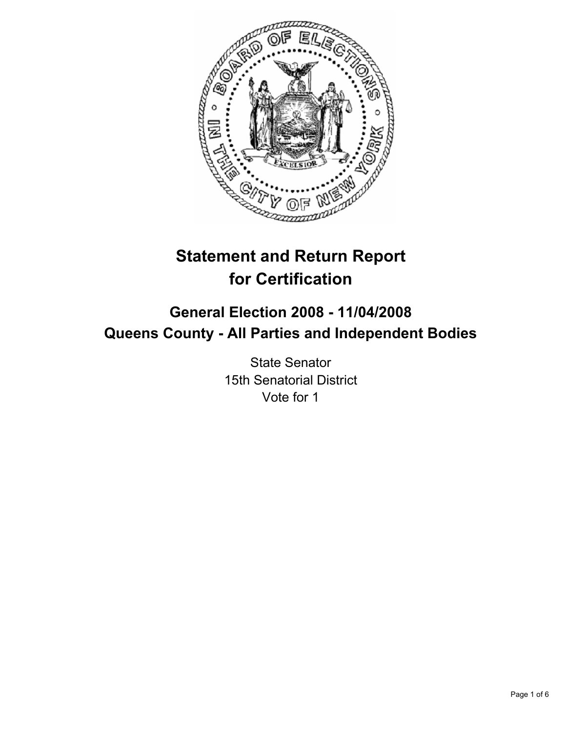

# **Statement and Return Report for Certification**

## **General Election 2008 - 11/04/2008 Queens County - All Parties and Independent Bodies**

State Senator 15th Senatorial District Vote for 1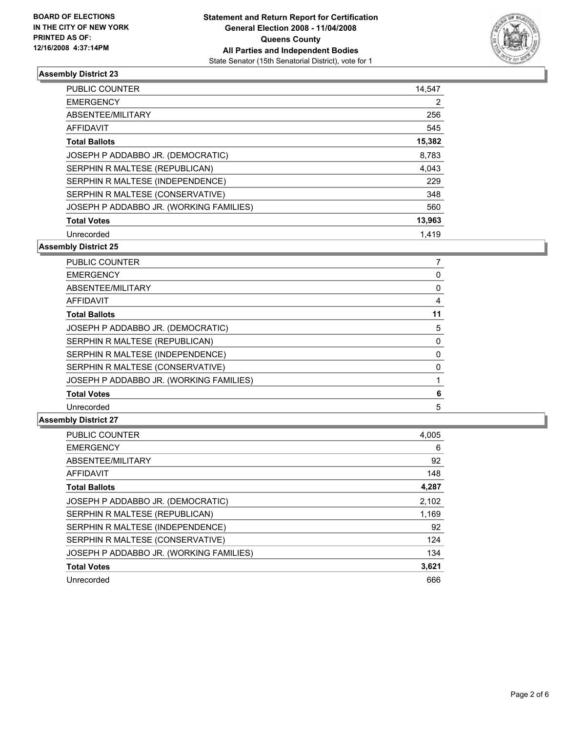

| <b>PUBLIC COUNTER</b>                   | 14,547 |
|-----------------------------------------|--------|
| <b>EMERGENCY</b>                        |        |
| ABSENTEE/MILITARY                       | 256    |
| <b>AFFIDAVIT</b>                        | 545    |
| <b>Total Ballots</b>                    | 15,382 |
| JOSEPH P ADDABBO JR. (DEMOCRATIC)       | 8,783  |
| SERPHIN R MALTESE (REPUBLICAN)          | 4.043  |
| SERPHIN R MALTESE (INDEPENDENCE)        | 229    |
| SERPHIN R MALTESE (CONSERVATIVE)        | 348    |
| JOSEPH P ADDABBO JR. (WORKING FAMILIES) | 560    |
| <b>Total Votes</b>                      | 13,963 |
| Unrecorded                              | 1.419  |

**Assembly District 25**

| PUBLIC COUNTER                          |    |
|-----------------------------------------|----|
| <b>EMERGENCY</b>                        |    |
| ABSENTEE/MILITARY                       |    |
| <b>AFFIDAVIT</b>                        |    |
| <b>Total Ballots</b>                    | 11 |
| JOSEPH P ADDABBO JR. (DEMOCRATIC)       | 5  |
| SERPHIN R MALTESE (REPUBLICAN)          |    |
| SERPHIN R MALTESE (INDEPENDENCE)        |    |
| SERPHIN R MALTESE (CONSERVATIVE)        |    |
| JOSEPH P ADDABBO JR. (WORKING FAMILIES) |    |
| <b>Total Votes</b>                      |    |
| Unrecorded                              | 5  |

| <b>PUBLIC COUNTER</b>                   | 4,005 |
|-----------------------------------------|-------|
| <b>EMERGENCY</b>                        | 6     |
| ABSENTEE/MILITARY                       | 92    |
| <b>AFFIDAVIT</b>                        | 148   |
| <b>Total Ballots</b>                    | 4,287 |
| JOSEPH P ADDABBO JR. (DEMOCRATIC)       | 2,102 |
| SERPHIN R MALTESE (REPUBLICAN)          | 1,169 |
| SERPHIN R MALTESE (INDEPENDENCE)        | 92    |
| SERPHIN R MALTESE (CONSERVATIVE)        | 124   |
| JOSEPH P ADDABBO JR. (WORKING FAMILIES) | 134   |
| <b>Total Votes</b>                      | 3,621 |
| Unrecorded                              | 666   |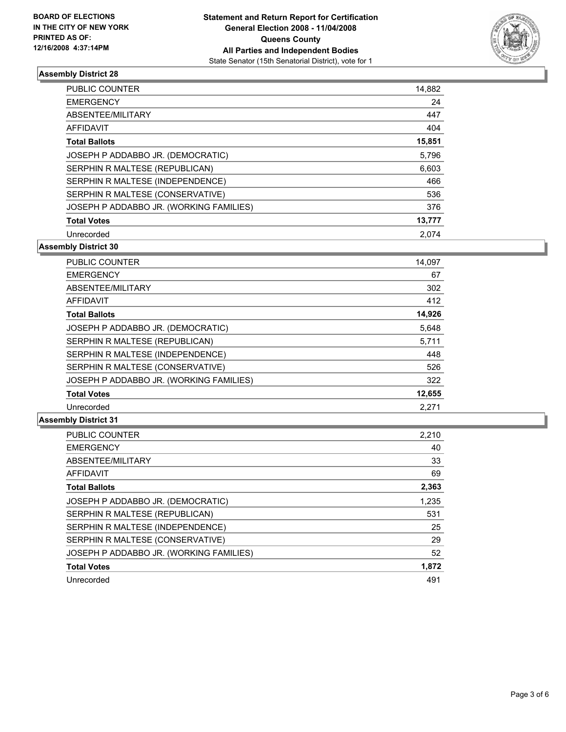

| PUBLIC COUNTER                          | 14,882 |
|-----------------------------------------|--------|
| <b>EMERGENCY</b>                        | 24     |
| ABSENTEE/MILITARY                       | 447    |
| AFFIDAVIT                               | 404    |
| <b>Total Ballots</b>                    | 15,851 |
| JOSEPH P ADDABBO JR. (DEMOCRATIC)       | 5,796  |
| SERPHIN R MALTESE (REPUBLICAN)          | 6,603  |
| SERPHIN R MALTESE (INDEPENDENCE)        | 466    |
| SERPHIN R MALTESE (CONSERVATIVE)        | 536    |
| JOSEPH P ADDABBO JR. (WORKING FAMILIES) | 376    |
| <b>Total Votes</b>                      | 13,777 |
| Unrecorded                              | 2.074  |

**Assembly District 30**

| <b>PUBLIC COUNTER</b>                   | 14,097 |
|-----------------------------------------|--------|
| <b>EMERGENCY</b>                        | 67     |
| ABSENTEE/MILITARY                       | 302    |
| <b>AFFIDAVIT</b>                        | 412    |
| <b>Total Ballots</b>                    | 14,926 |
| JOSEPH P ADDABBO JR. (DEMOCRATIC)       | 5,648  |
| SERPHIN R MALTESE (REPUBLICAN)          | 5,711  |
| SERPHIN R MALTESE (INDEPENDENCE)        | 448    |
| SERPHIN R MALTESE (CONSERVATIVE)        | 526    |
| JOSEPH P ADDABBO JR. (WORKING FAMILIES) | 322    |
| <b>Total Votes</b>                      | 12,655 |
| Unrecorded                              | 2.271  |

| PUBLIC COUNTER                          | 2,210 |
|-----------------------------------------|-------|
| <b>EMERGENCY</b>                        | 40    |
| ABSENTEE/MILITARY                       | 33    |
| <b>AFFIDAVIT</b>                        | 69    |
| <b>Total Ballots</b>                    | 2,363 |
| JOSEPH P ADDABBO JR. (DEMOCRATIC)       | 1,235 |
| SERPHIN R MALTESE (REPUBLICAN)          | 531   |
| SERPHIN R MALTESE (INDEPENDENCE)        | 25    |
| SERPHIN R MALTESE (CONSERVATIVE)        | 29    |
| JOSEPH P ADDABBO JR. (WORKING FAMILIES) | 52    |
| <b>Total Votes</b>                      | 1,872 |
| Unrecorded                              | 491   |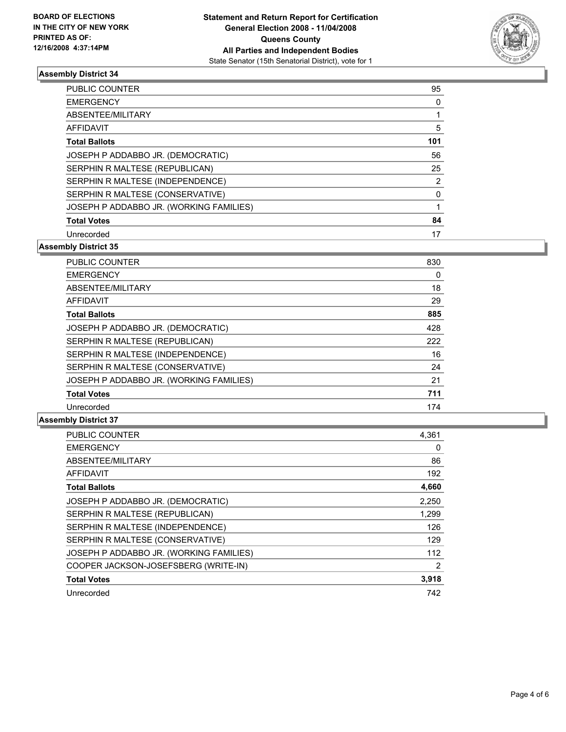

| <b>PUBLIC COUNTER</b>                   | 95  |
|-----------------------------------------|-----|
| <b>EMERGENCY</b>                        |     |
| ABSENTEE/MILITARY                       |     |
| <b>AFFIDAVIT</b>                        | 5   |
| <b>Total Ballots</b>                    | 101 |
| JOSEPH P ADDABBO JR. (DEMOCRATIC)       | 56  |
| SERPHIN R MALTESE (REPUBLICAN)          | 25  |
| SERPHIN R MALTESE (INDEPENDENCE)        |     |
| SERPHIN R MALTESE (CONSERVATIVE)        |     |
| JOSEPH P ADDABBO JR. (WORKING FAMILIES) |     |
| <b>Total Votes</b>                      | 84  |
| Unrecorded                              | 17  |

**Assembly District 35**

| <b>PUBLIC COUNTER</b>                   | 830 |
|-----------------------------------------|-----|
| <b>EMERGENCY</b>                        | 0   |
| ABSENTEE/MILITARY                       | 18  |
| <b>AFFIDAVIT</b>                        | 29  |
| <b>Total Ballots</b>                    | 885 |
| JOSEPH P ADDABBO JR. (DEMOCRATIC)       | 428 |
| SERPHIN R MALTESE (REPUBLICAN)          | 222 |
| SERPHIN R MALTESE (INDEPENDENCE)        | 16  |
| SERPHIN R MALTESE (CONSERVATIVE)        | 24  |
| JOSEPH P ADDABBO JR. (WORKING FAMILIES) | 21  |
| <b>Total Votes</b>                      | 711 |
| Unrecorded                              | 174 |

| <b>PUBLIC COUNTER</b>                   | 4,361 |
|-----------------------------------------|-------|
| <b>EMERGENCY</b>                        | 0     |
| ABSENTEE/MILITARY                       | 86    |
| <b>AFFIDAVIT</b>                        | 192   |
| <b>Total Ballots</b>                    | 4,660 |
| JOSEPH P ADDABBO JR. (DEMOCRATIC)       | 2,250 |
| SERPHIN R MALTESE (REPUBLICAN)          | 1,299 |
| SERPHIN R MALTESE (INDEPENDENCE)        | 126   |
| SERPHIN R MALTESE (CONSERVATIVE)        | 129   |
| JOSEPH P ADDABBO JR. (WORKING FAMILIES) | 112   |
| COOPER JACKSON-JOSEFSBERG (WRITE-IN)    | 2     |
| <b>Total Votes</b>                      | 3,918 |
| Unrecorded                              | 742   |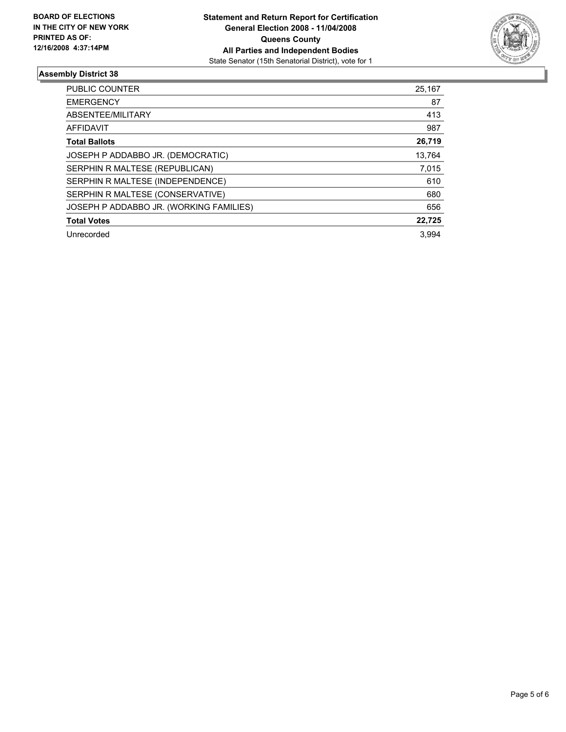

| PUBLIC COUNTER                          | 25,167 |
|-----------------------------------------|--------|
| <b>EMERGENCY</b>                        | 87     |
| ABSENTEE/MILITARY                       | 413    |
| AFFIDAVIT                               | 987    |
| <b>Total Ballots</b>                    | 26,719 |
| JOSEPH P ADDABBO JR. (DEMOCRATIC)       | 13.764 |
| SERPHIN R MALTESE (REPUBLICAN)          | 7,015  |
| SERPHIN R MALTESE (INDEPENDENCE)        | 610    |
| SERPHIN R MALTESE (CONSERVATIVE)        | 680    |
| JOSEPH P ADDABBO JR. (WORKING FAMILIES) | 656    |
| <b>Total Votes</b>                      | 22,725 |
| Unrecorded                              | 3.994  |